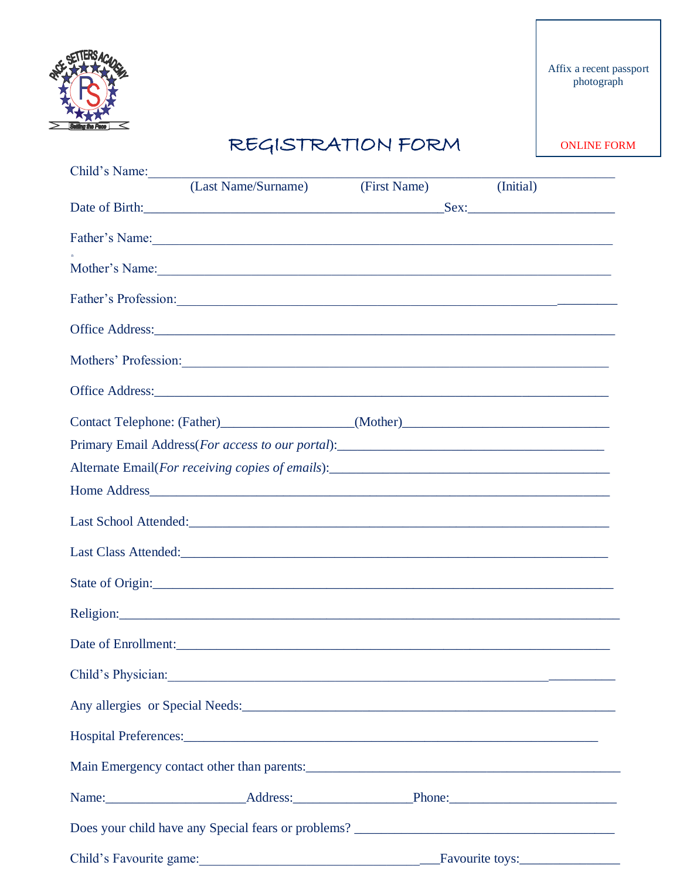

## REGISTRATION FORM

**ONLINE FORM** 

| Child's Name:                                                                                                                                                                                                                  |              |           |  |  |  |
|--------------------------------------------------------------------------------------------------------------------------------------------------------------------------------------------------------------------------------|--------------|-----------|--|--|--|
| (Last Name/Surname)                                                                                                                                                                                                            | (First Name) | (Initial) |  |  |  |
|                                                                                                                                                                                                                                |              |           |  |  |  |
| Father's Name: 1988. Contract the contract of the contract of the contract of the contract of the contract of the contract of the contract of the contract of the contract of the contract of the contract of the contract of  |              |           |  |  |  |
| Mother's Name: Notice of the contract of the contract of the contract of the contract of the contract of the contract of the contract of the contract of the contract of the contract of the contract of the contract of the c |              |           |  |  |  |
| Father's Profession:                                                                                                                                                                                                           |              |           |  |  |  |
|                                                                                                                                                                                                                                |              |           |  |  |  |
| Mothers' Profession:                                                                                                                                                                                                           |              |           |  |  |  |
|                                                                                                                                                                                                                                |              |           |  |  |  |
| Contact Telephone: (Father)____________________(Mother)__________________________                                                                                                                                              |              |           |  |  |  |
|                                                                                                                                                                                                                                |              |           |  |  |  |
|                                                                                                                                                                                                                                |              |           |  |  |  |
|                                                                                                                                                                                                                                |              |           |  |  |  |
|                                                                                                                                                                                                                                |              |           |  |  |  |
|                                                                                                                                                                                                                                |              |           |  |  |  |
| State of Origin:                                                                                                                                                                                                               |              |           |  |  |  |
|                                                                                                                                                                                                                                |              |           |  |  |  |
|                                                                                                                                                                                                                                |              |           |  |  |  |
|                                                                                                                                                                                                                                |              |           |  |  |  |
| Any allergies or Special Needs: Manual Angle of Special Needs: Manual Angle of Special Needs:                                                                                                                                  |              |           |  |  |  |
|                                                                                                                                                                                                                                |              |           |  |  |  |
|                                                                                                                                                                                                                                |              |           |  |  |  |
| Name: Address: Address: Phone: Phone:                                                                                                                                                                                          |              |           |  |  |  |
|                                                                                                                                                                                                                                |              |           |  |  |  |
|                                                                                                                                                                                                                                |              |           |  |  |  |